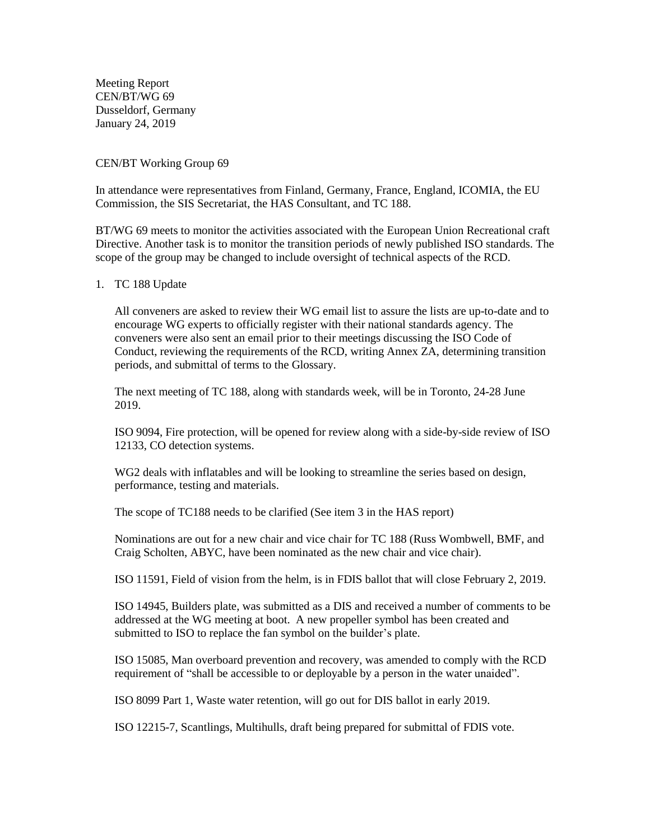Meeting Report CEN/BT/WG 69 Dusseldorf, Germany January 24, 2019

CEN/BT Working Group 69

In attendance were representatives from Finland, Germany, France, England, ICOMIA, the EU Commission, the SIS Secretariat, the HAS Consultant, and TC 188.

BT/WG 69 meets to monitor the activities associated with the European Union Recreational craft Directive. Another task is to monitor the transition periods of newly published ISO standards. The scope of the group may be changed to include oversight of technical aspects of the RCD.

## 1. TC 188 Update

All conveners are asked to review their WG email list to assure the lists are up-to-date and to encourage WG experts to officially register with their national standards agency. The conveners were also sent an email prior to their meetings discussing the ISO Code of Conduct, reviewing the requirements of the RCD, writing Annex ZA, determining transition periods, and submittal of terms to the Glossary.

The next meeting of TC 188, along with standards week, will be in Toronto, 24-28 June 2019.

ISO 9094, Fire protection, will be opened for review along with a side-by-side review of ISO 12133, CO detection systems.

WG2 deals with inflatables and will be looking to streamline the series based on design, performance, testing and materials.

The scope of TC188 needs to be clarified (See item 3 in the HAS report)

Nominations are out for a new chair and vice chair for TC 188 (Russ Wombwell, BMF, and Craig Scholten, ABYC, have been nominated as the new chair and vice chair).

ISO 11591, Field of vision from the helm, is in FDIS ballot that will close February 2, 2019.

ISO 14945, Builders plate, was submitted as a DIS and received a number of comments to be addressed at the WG meeting at boot. A new propeller symbol has been created and submitted to ISO to replace the fan symbol on the builder's plate.

ISO 15085, Man overboard prevention and recovery, was amended to comply with the RCD requirement of "shall be accessible to or deployable by a person in the water unaided".

ISO 8099 Part 1, Waste water retention, will go out for DIS ballot in early 2019.

ISO 12215-7, Scantlings, Multihulls, draft being prepared for submittal of FDIS vote.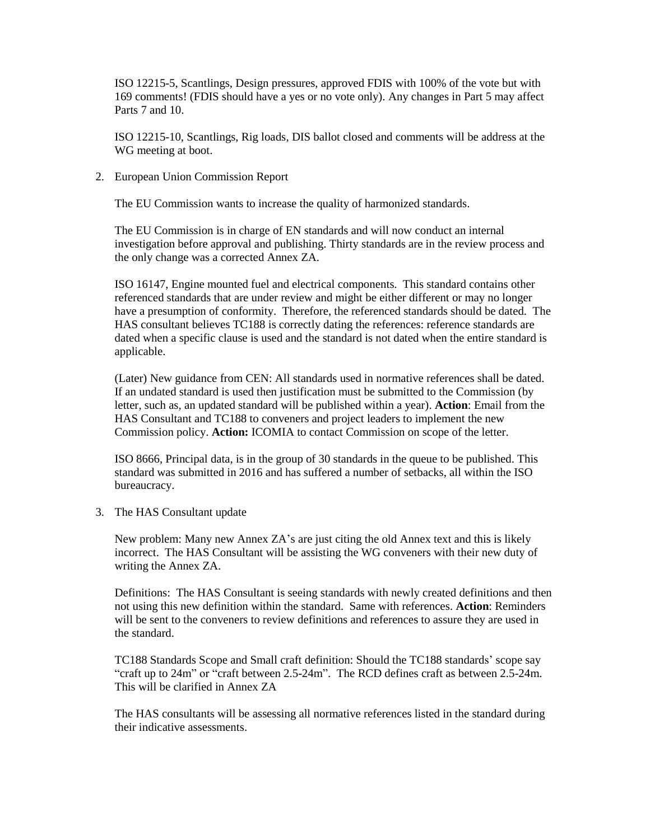ISO 12215-5, Scantlings, Design pressures, approved FDIS with 100% of the vote but with 169 comments! (FDIS should have a yes or no vote only). Any changes in Part 5 may affect Parts 7 and 10.

ISO 12215-10, Scantlings, Rig loads, DIS ballot closed and comments will be address at the WG meeting at boot.

2. European Union Commission Report

The EU Commission wants to increase the quality of harmonized standards.

The EU Commission is in charge of EN standards and will now conduct an internal investigation before approval and publishing. Thirty standards are in the review process and the only change was a corrected Annex ZA.

ISO 16147, Engine mounted fuel and electrical components. This standard contains other referenced standards that are under review and might be either different or may no longer have a presumption of conformity. Therefore, the referenced standards should be dated. The HAS consultant believes TC188 is correctly dating the references: reference standards are dated when a specific clause is used and the standard is not dated when the entire standard is applicable.

(Later) New guidance from CEN: All standards used in normative references shall be dated. If an undated standard is used then justification must be submitted to the Commission (by letter, such as, an updated standard will be published within a year). **Action**: Email from the HAS Consultant and TC188 to conveners and project leaders to implement the new Commission policy. **Action:** ICOMIA to contact Commission on scope of the letter.

ISO 8666, Principal data, is in the group of 30 standards in the queue to be published. This standard was submitted in 2016 and has suffered a number of setbacks, all within the ISO bureaucracy.

3. The HAS Consultant update

New problem: Many new Annex ZA's are just citing the old Annex text and this is likely incorrect. The HAS Consultant will be assisting the WG conveners with their new duty of writing the Annex ZA.

Definitions: The HAS Consultant is seeing standards with newly created definitions and then not using this new definition within the standard. Same with references. **Action**: Reminders will be sent to the conveners to review definitions and references to assure they are used in the standard.

TC188 Standards Scope and Small craft definition: Should the TC188 standards' scope say "craft up to 24m" or "craft between 2.5-24m". The RCD defines craft as between 2.5-24m. This will be clarified in Annex ZA

The HAS consultants will be assessing all normative references listed in the standard during their indicative assessments.